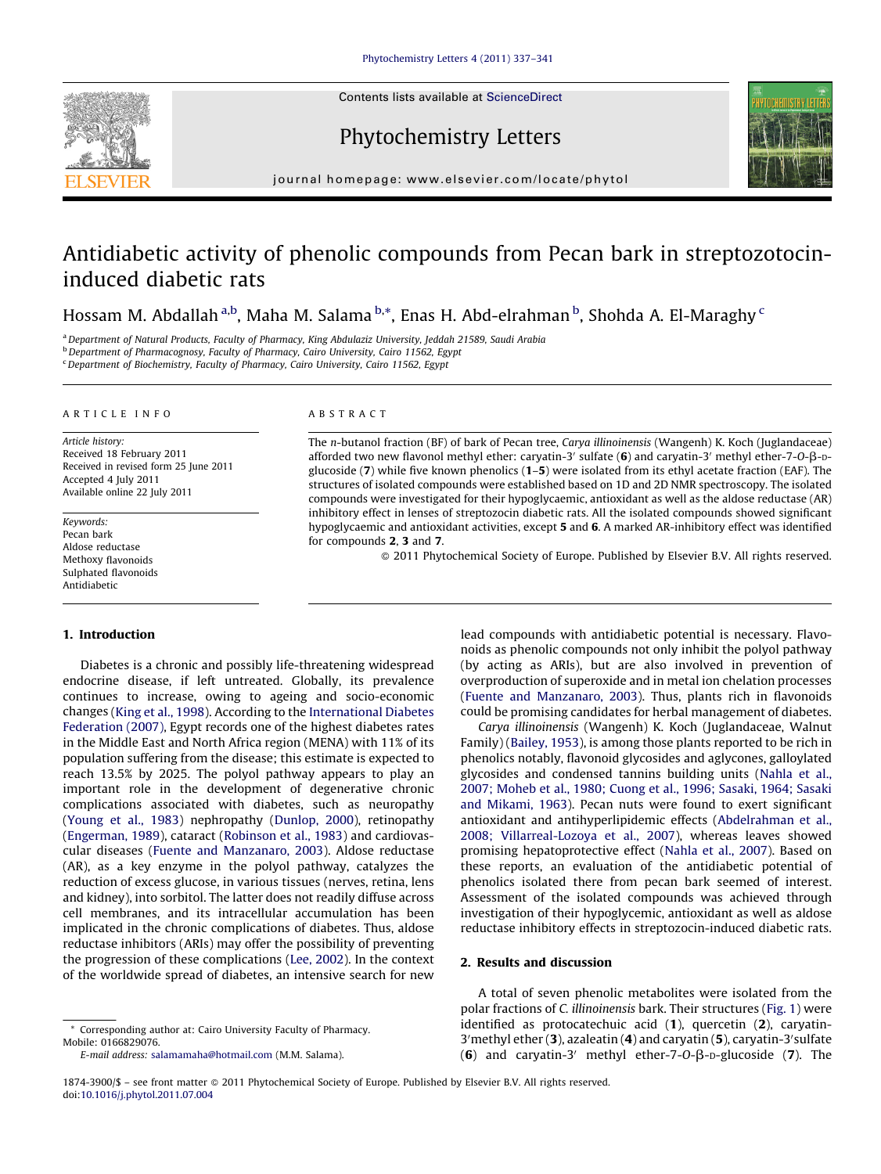

## Phytochemistry Letters



journal homepage: www.elsevier.com/locate/phytol

# Antidiabetic activity of phenolic compounds from Pecan bark in streptozotocininduced diabetic rats

Hossam M. Abdallah <sup>a,b</sup>, Maha M. Salama <sup>b,</sup>\*, Enas H. Abd-elrahman <sup>b</sup>, Shohda A. El-Maraghy <sup>c</sup>

<sup>a</sup> Department of Natural Products, Faculty of Pharmacy, King Abdulaziz University, Jeddah 21589, Saudi Arabia

b Department of Pharmacognosy, Faculty of Pharmacy, Cairo University, Cairo 11562, Egypt

<sup>c</sup> Department of Biochemistry, Faculty of Pharmacy, Cairo University, Cairo 11562, Egypt

## A R T I C L E I N F O

Article history: Received 18 February 2011 Received in revised form 25 June 2011 Accepted 4 July 2011 Available online 22 July 2011

Keywords: Pecan bark Aldose reductase Methoxy flavonoids Sulphated flavonoids Antidiabetic

## 1. Introduction

Diabetes is a chronic and possibly life-threatening widespread endocrine disease, if left untreated. Globally, its prevalence continues to increase, owing to ageing and socio-economic changes (King et al., [1998](#page-4-0)). According to the [International](#page-4-0) Diabetes [Federation](#page-4-0) (2007), Egypt records one of the highest diabetes rates in the Middle East and North Africa region (MENA) with 11% of its population suffering from the disease; this estimate is expected to reach 13.5% by 2025. The polyol pathway appears to play an important role in the development of degenerative chronic complications associated with diabetes, such as neuropathy ([Young](#page-4-0) et al., 1983) nephropathy ([Dunlop,](#page-4-0) 2000), retinopathy ([Engerman,](#page-4-0) 1989), cataract ([Robinson](#page-4-0) et al., 1983) and cardiovascular diseases (Fuente and [Manzanaro,](#page-4-0) 2003). Aldose reductase (AR), as a key enzyme in the polyol pathway, catalyzes the reduction of excess glucose, in various tissues (nerves, retina, lens and kidney), into sorbitol. The latter does not readily diffuse across cell membranes, and its intracellular accumulation has been implicated in the chronic complications of diabetes. Thus, aldose reductase inhibitors (ARIs) may offer the possibility of preventing the progression of these complications (Lee, [2002](#page-4-0)). In the context of the worldwide spread of diabetes, an intensive search for new

## A B S T R A C T

The n-butanol fraction (BF) of bark of Pecan tree, Carya illinoinensis (Wangenh) K. Koch (Juglandaceae) afforded two new flavonol methyl ether: caryatin-3' sulfate  $(6)$  and caryatin-3' methyl ether-7-O- $\beta$ -Dglucoside (7) while five known phenolics (1–5) were isolated from its ethyl acetate fraction (EAF). The structures of isolated compounds were established based on 1D and 2D NMR spectroscopy. The isolated compounds were investigated for their hypoglycaemic, antioxidant as well as the aldose reductase (AR) inhibitory effect in lenses of streptozocin diabetic rats. All the isolated compounds showed significant hypoglycaemic and antioxidant activities, except 5 and 6. A marked AR-inhibitory effect was identified for compounds 2, 3 and 7.

- 2011 Phytochemical Society of Europe. Published by Elsevier B.V. All rights reserved.

lead compounds with antidiabetic potential is necessary. Flavonoids as phenolic compounds not only inhibit the polyol pathway (by acting as ARIs), but are also involved in prevention of overproduction of superoxide and in metal ion chelation processes (Fuente and [Manzanaro,](#page-4-0) 2003). Thus, plants rich in flavonoids could be promising candidates for herbal management of diabetes.

Carya illinoinensis (Wangenh) K. Koch (Juglandaceae, Walnut Family) [\(Bailey,](#page-4-0) 1953), is among those plants reported to be rich in phenolics notably, flavonoid glycosides and aglycones, galloylated glycosides and condensed tannins building units ([Nahla](#page-4-0) et al., 2007; [Moheb](#page-4-0) et al., 1980; Cuong et al., 1996; Sasaki, 1964; Sasaki and [Mikami,](#page-4-0) 1963). Pecan nuts were found to exert significant antioxidant and antihyperlipidemic effects [\(Abdelrahman](#page-4-0) et al., 2008; [Villarreal-Lozoya](#page-4-0) et al., 2007), whereas leaves showed promising hepatoprotective effect ([Nahla](#page-4-0) et al., 2007). Based on these reports, an evaluation of the antidiabetic potential of phenolics isolated there from pecan bark seemed of interest. Assessment of the isolated compounds was achieved through investigation of their hypoglycemic, antioxidant as well as aldose reductase inhibitory effects in streptozocin-induced diabetic rats.

## 2. Results and discussion

A total of seven phenolic metabolites were isolated from the polar fractions of C. illinoinensis bark. Their structures [\(Fig.](#page-1-0) 1) were identified as protocatechuic acid (1), quercetin (2), caryatin-3' methyl ether (3), azaleatin (4) and caryatin (5), caryatin-3' sulfate (6) and caryatin-3' methyl ether-7-O- $\beta$ -D-glucoside (7). The

Corresponding author at: Cairo University Faculty of Pharmacy. Mobile: 0166829076.

E-mail address: [salamamaha@hotmail.com](mailto:salamamaha@hotmail.com) (M.M. Salama).

<sup>1874-3900/\$ –</sup> see front matter © 2011 Phytochemical Society of Europe. Published by Elsevier B.V. All rights reserved. doi:[10.1016/j.phytol.2011.07.004](http://dx.doi.org/10.1016/j.phytol.2011.07.004)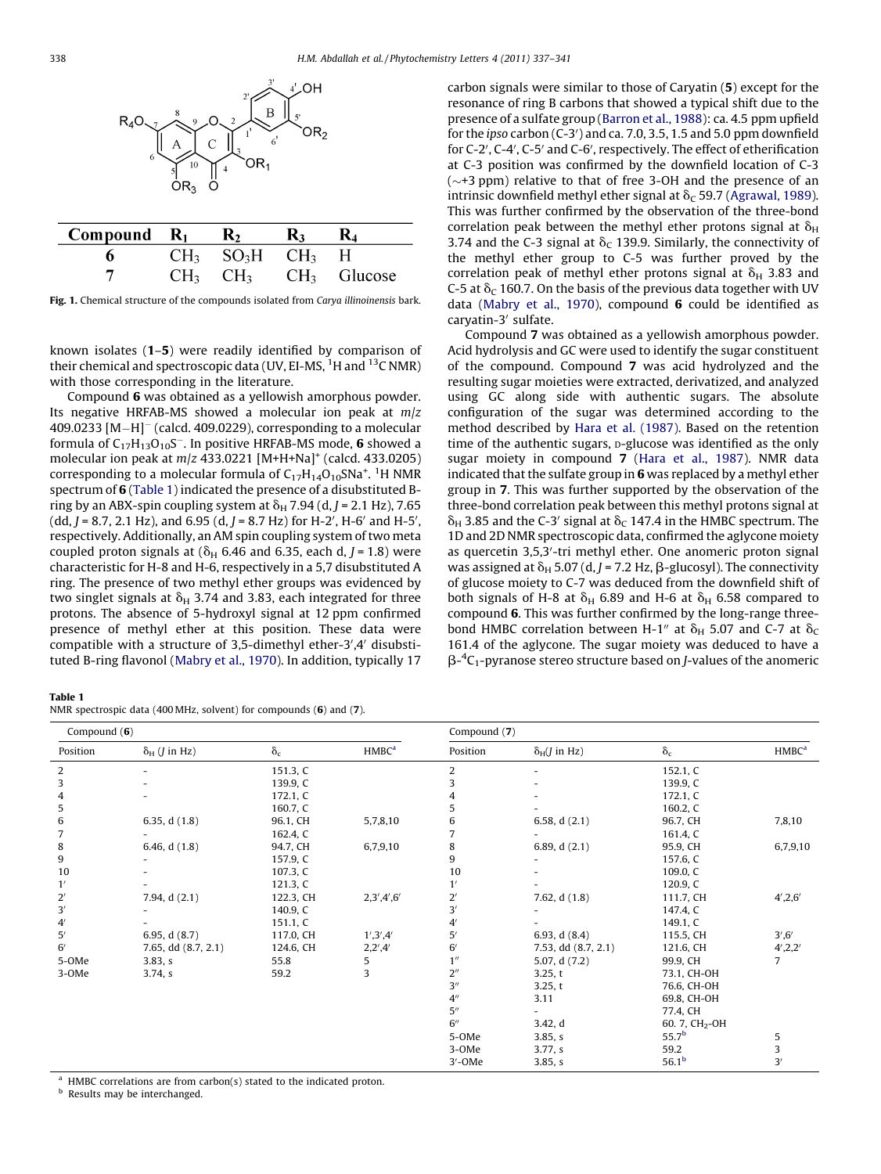<span id="page-1-0"></span>

| Compound $R_1$ $R_2$ |                                            | K3. |                              |
|----------------------|--------------------------------------------|-----|------------------------------|
|                      | $CH_3$ SO <sub>3</sub> H CH <sub>3</sub> H |     |                              |
|                      |                                            |     | $CH_3$ $CH_3$ $CH_3$ Glucose |

Fig. 1. Chemical structure of the compounds isolated from Carya illinoinensis bark.

known isolates (1–5) were readily identified by comparison of their chemical and spectroscopic data (UV, EI-MS, <sup>1</sup>H and <sup>13</sup>C NMR) with those corresponding in the literature.

Compound 6 was obtained as a yellowish amorphous powder. Its negative HRFAB-MS showed a molecular ion peak at  $m/z$  $409.0233$   $[M-H]^-$  (calcd.  $409.0229$ ), corresponding to a molecular formula of  $C_{17}H_{13}O_{10}S^-$ . In positive HRFAB-MS mode, 6 showed a molecular ion peak at  $m/z$  433.0221 [M+H+Na]<sup>+</sup> (calcd. 433.0205) corresponding to a molecular formula of  $\mathsf{C}_{17}\mathsf{H}_{14}\mathsf{O}_{10}\mathsf{S} \mathsf{N}$ a $^+$ .  $^1\mathsf{H}\, \mathsf{N} \mathsf{M} \mathsf{R}$ spectrum of 6 (Table 1) indicated the presence of a disubstituted Bring by an ABX-spin coupling system at  $\delta_H$  7.94 (d, J = 2.1 Hz), 7.65  $(dd, J = 8.7, 2.1 Hz$ , and 6.95  $(d, J = 8.7 Hz)$  for H-2', H-6' and H-5', respectively. Additionally, an AM spin coupling system of two meta coupled proton signals at ( $\delta$ <sub>H</sub> 6.46 and 6.35, each d, J = 1.8) were characteristic for H-8 and H-6, respectively in a 5,7 disubstituted A ring. The presence of two methyl ether groups was evidenced by two singlet signals at  $\delta_H$  3.74 and 3.83, each integrated for three protons. The absence of 5-hydroxyl signal at 12 ppm confirmed presence of methyl ether at this position. These data were compatible with a structure of 3,5-dimethyl ether-3',4' disubstituted B-ring flavonol [\(Mabry](#page-4-0) et al., 1970). In addition, typically 17

Table 1

| NMR spectrospic data (400 MHz, solvent) for compounds $(6)$ and $(7)$ . |  |  |  |  |  |  |  |  |  |
|-------------------------------------------------------------------------|--|--|--|--|--|--|--|--|--|
|-------------------------------------------------------------------------|--|--|--|--|--|--|--|--|--|

carbon signals were similar to those of Caryatin (5) except for the resonance of ring B carbons that showed a typical shift due to the presence of a sulfate group [\(Barron](#page-4-0) et al., 1988): ca. 4.5 ppm upfield for the ipso carbon  $(C-3')$  and ca. 7.0, 3.5, 1.5 and 5.0 ppm downfield for C-2', C-4', C-5' and C-6', respectively. The effect of etherification at C-3 position was confirmed by the downfield location of C-3  $(\sim +3$  ppm) relative to that of free 3-OH and the presence of an intrinsic downfield methyl ether signal at  $\delta_c$  59.7 [\(Agrawal,](#page-4-0) 1989). This was further confirmed by the observation of the three-bond correlation peak between the methyl ether protons signal at  $\delta_{\rm H}$ 3.74 and the C-3 signal at  $\delta_c$  139.9. Similarly, the connectivity of the methyl ether group to C-5 was further proved by the correlation peak of methyl ether protons signal at  $\delta_H$  3.83 and C-5 at  $\delta_c$  160.7. On the basis of the previous data together with UV data ([Mabry](#page-4-0) et al., 1970), compound 6 could be identified as caryatin-3' sulfate.

Compound 7 was obtained as a yellowish amorphous powder. Acid hydrolysis and GC were used to identify the sugar constituent of the compound. Compound 7 was acid hydrolyzed and the resulting sugar moieties were extracted, derivatized, and analyzed using GC along side with authentic sugars. The absolute configuration of the sugar was determined according to the method described by Hara et al. [\(1987\).](#page-4-0) Based on the retention time of the authentic sugars, p-glucose was identified as the only sugar moiety in compound 7 (Hara et al., [1987\)](#page-4-0). NMR data indicated that the sulfate group in  $6$  was replaced by a methyl ether group in 7. This was further supported by the observation of the three-bond correlation peak between this methyl protons signal at  $\delta_H$  3.85 and the C-3' signal at  $\delta_C$  147.4 in the HMBC spectrum. The 1D and 2D NMR spectroscopic data, confirmed the aglycone moiety as quercetin 3,5,3'-tri methyl ether. One anomeric proton signal was assigned at  $\delta_H$  5.07 (d, J = 7.2 Hz,  $\beta$ -glucosyl). The connectivity of glucose moiety to C-7 was deduced from the downfield shift of both signals of H-8 at  $\delta_H$  6.89 and H-6 at  $\delta_H$  6.58 compared to compound 6. This was further confirmed by the long-range threebond HMBC correlation between H-1<sup>n</sup> at  $\delta_H$  5.07 and C-7 at  $\delta_C$ 161.4 of the aglycone. The sugar moiety was deduced to have a  $\beta$ -<sup>4</sup>C<sub>1</sub>-pyranose stereo structure based on *J*-values of the anomeric

| Compound $(6)$ |                              |            | Compound (7)             |                    |                              |                            |                   |
|----------------|------------------------------|------------|--------------------------|--------------------|------------------------------|----------------------------|-------------------|
| Position       | $\delta_H$ ( <i>J</i> in Hz) | $\delta_c$ | <b>HMBC</b> <sup>a</sup> | Position           | $\delta_H(J \text{ in } Hz)$ | $\delta_c$                 | HMBC <sup>a</sup> |
| 2              |                              | 151.3, C   |                          | 2                  |                              | 152.1, C                   |                   |
| 3              |                              | 139.9, C   |                          | 3                  |                              | 139.9, C                   |                   |
| 4              |                              | 172.1, C   |                          | 4                  |                              | 172.1, C                   |                   |
| 5              |                              | 160.7, C   |                          | 5                  |                              | 160.2, C                   |                   |
| 6              | 6.35, $d(1.8)$               | 96.1, CH   | 5,7,8,10                 | 6                  | 6.58, $d(2.1)$               | 96.7, CH                   | 7,8,10            |
|                |                              | 162.4, C   |                          |                    |                              | 161.4, C                   |                   |
| 8              | 6.46, $d(1.8)$               | 94.7, CH   | 6,7,9,10                 | 8                  | 6.89, $d(2.1)$               | 95.9, CH                   | 6,7,9,10          |
| 9              |                              | 157.9, C   |                          | 9                  |                              | 157.6, C                   |                   |
| 10             |                              | 107.3, C   |                          | 10                 |                              | 109.0, C                   |                   |
| 1'             |                              | 121.3, C   |                          | 1'                 |                              | 120.9, C                   |                   |
| $2^{\prime}$   | 7.94, $d(2.1)$               | 122.3, CH  | 2,3',4',6'               | $2^{\prime}$       | 7.62, $d(1.8)$               | 111.7, CH                  | 4',2,6'           |
| $3'$           |                              | 140.9, C   |                          | 3'                 |                              | 147.4, C                   |                   |
| $4^{\prime}$   |                              | 151.1, C   |                          | $4^{\prime}$       |                              | 149.1, C                   |                   |
| 5'             | 6.95, $d(8.7)$               | 117.0, CH  | 1', 3', 4'               | 5'                 | 6.93, $d(8.4)$               | 115.5, CH                  | 3', 6'            |
| 6'             | 7.65, dd (8.7, 2.1)          | 124.6, CH  | 2,2',4'                  | 6'                 | 7.53, dd (8.7, 2.1)          | 121.6, CH                  | 4', 2, 2'         |
| 5-OMe          | 3.83, s                      | 55.8       | 5                        | 1 <sup>''</sup>    | 5.07, d (7.2)                | 99.9, CH                   | 7                 |
| 3-OMe          | 3.74, s                      | 59.2       | 3                        | 2 <sup>''</sup>    | 3.25, t                      | 73.1, CH-OH                |                   |
|                |                              |            |                          | 3''                | 3.25, t                      | 76.6, CH-OH                |                   |
|                |                              |            |                          | $4^{\prime\prime}$ | 3.11                         | 69.8, CH-OH                |                   |
|                |                              |            |                          | 5''                |                              | 77.4, CH                   |                   |
|                |                              |            |                          | 6''                | 3.42, d                      | 60. 7, CH <sub>2</sub> -OH |                   |
|                |                              |            |                          | 5-OMe              | 3.85, s                      | 55.7 <sup>b</sup>          | 5                 |
|                |                              |            |                          | 3-OMe              | 3.77, s                      | 59.2                       | 3                 |
|                |                              |            |                          | $3'$ -OMe          | 3.85, s                      | $56.1^{\rm b}$             | 3'                |

<sup>a</sup> HMBC correlations are from carbon(s) stated to the indicated proton.

**b** Results may be interchanged.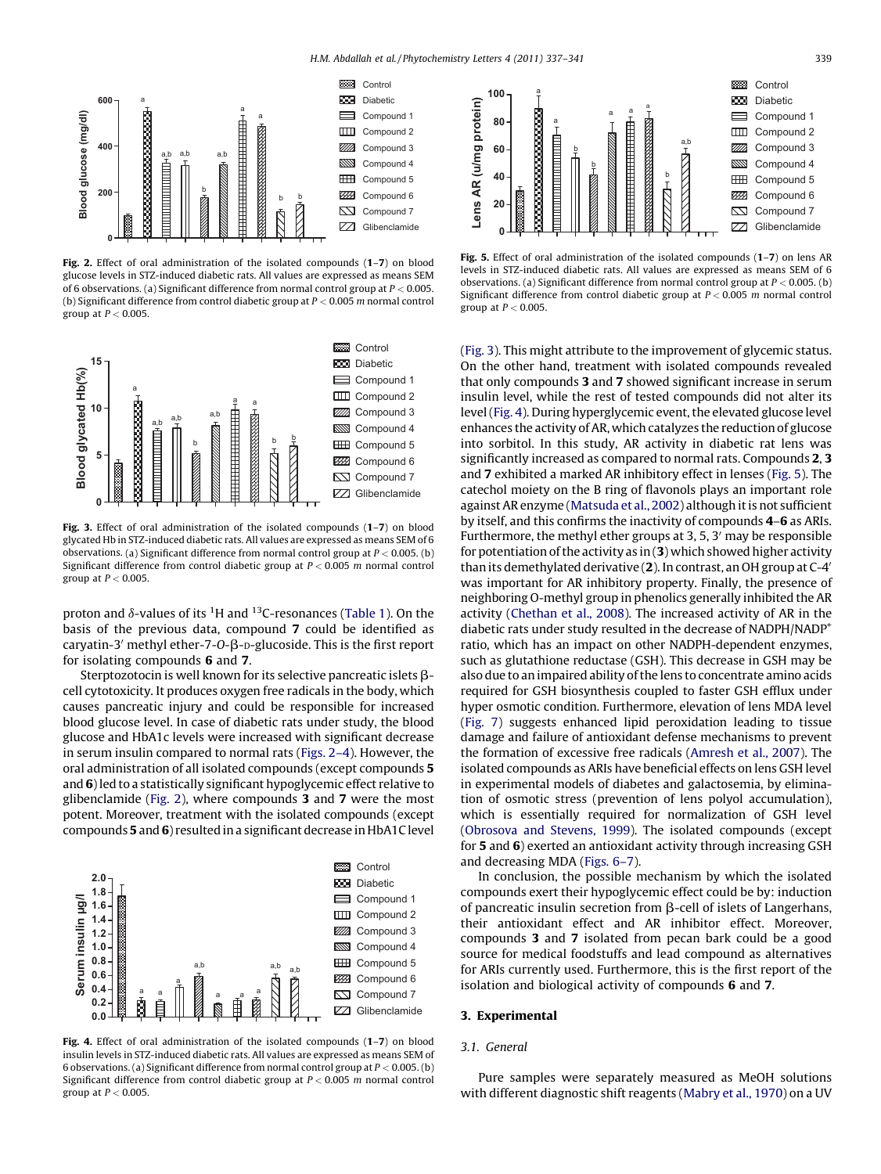

Fig. 2. Effect of oral administration of the isolated compounds (1–7) on blood glucose levels in STZ-induced diabetic rats. All values are expressed as means SEM of 6 observations. (a) Significant difference from normal control group at  $P < 0.005$ . (b) Significant difference from control diabetic group at  $P < 0.005$  m normal control group at  $P < 0.005$ .



Fig. 3. Effect of oral administration of the isolated compounds (1–7) on blood glycated Hb in STZ-induced diabetic rats. All values are expressed as means SEM of 6 observations. (a) Significant difference from normal control group at  $P < 0.005$ . (b) Significant difference from control diabetic group at  $P < 0.005$  m normal control group at  $P < 0.005$ .

proton and  $\delta$ -values of its  $^1\mathrm{H}$  and  $^{13}$ C-resonances [\(Table](#page-1-0) 1). On the basis of the previous data, compound 7 could be identified as caryatin-3<sup> $\prime$ </sup> methyl ether-7-O- $\beta$ -D-glucoside. This is the first report for isolating compounds 6 and 7.

Sterptozotocin is well known for its selective pancreatic islets  $\beta$ cell cytotoxicity. It produces oxygen free radicals in the body, which causes pancreatic injury and could be responsible for increased blood glucose level. In case of diabetic rats under study, the blood glucose and HbA1c levels were increased with significant decrease in serum insulin compared to normal rats (Figs. 2–4). However, the oral administration of all isolated compounds (except compounds 5 and 6)led to a statistically significant hypoglycemic effect relative to glibenclamide (Fig. 2), where compounds 3 and 7 were the most potent. Moreover, treatment with the isolated compounds (except compounds 5 and 6) resulted in a significant decrease in HbA1C level



Fig. 4. Effect of oral administration of the isolated compounds (1–7) on blood insulin levels in STZ-induced diabetic rats. All values are expressed as means SEM of 6 observations. (a) Significant difference from normal control group at  $P < 0.005$ . (b) Significant difference from control diabetic group at  $P < 0.005$  m normal control group at  $P < 0.005$ .



Fig. 5. Effect of oral administration of the isolated compounds (1-7) on lens AR levels in STZ-induced diabetic rats. All values are expressed as means SEM of 6 observations. (a) Significant difference from normal control group at  $P < 0.005$ . (b) Significant difference from control diabetic group at  $P < 0.005$  m normal control group at  $P < 0.005$ .

(Fig. 3). This might attribute to the improvement of glycemic status. On the other hand, treatment with isolated compounds revealed that only compounds 3 and 7 showed significant increase in serum insulin level, while the rest of tested compounds did not alter its level (Fig. 4). During hyperglycemic event, the elevated glucose level enhances the activity of AR, which catalyzes the reduction of glucose into sorbitol. In this study, AR activity in diabetic rat lens was significantly increased as compared to normal rats. Compounds 2, 3 and 7 exhibited a marked AR inhibitory effect in lenses (Fig. 5). The catechol moiety on the B ring of flavonols plays an important role against AR enzyme [\(Matsuda](#page-4-0) et al., 2002) although it is not sufficient by itself, and this confirms the inactivity of compounds 4–6 as ARIs. Furthermore, the methyl ether groups at  $3, 5, 3'$  may be responsible for potentiation of the activity as in  $(3)$  which showed higher activity than its demethylated derivative  $(2)$ . In contrast, an OH group at C-4<sup> $\prime$ </sup> was important for AR inhibitory property. Finally, the presence of neighboring O-methyl group in phenolics generally inhibited the AR activity ([Chethan](#page-4-0) et al., 2008). The increased activity of AR in the diabetic rats under study resulted in the decrease of NADPH/NADP+ ratio, which has an impact on other NADPH-dependent enzymes, such as glutathione reductase (GSH). This decrease in GSH may be also due to an impaired ability of the lens to concentrate amino acids required for GSH biosynthesis coupled to faster GSH efflux under hyper osmotic condition. Furthermore, elevation of lens MDA level ([Fig.](#page-3-0) 7) suggests enhanced lipid peroxidation leading to tissue damage and failure of antioxidant defense mechanisms to prevent the formation of excessive free radicals [\(Amresh](#page-4-0) et al., 2007). The isolated compounds as ARIs have beneficial effects on lens GSH level in experimental models of diabetes and galactosemia, by elimination of osmotic stress (prevention of lens polyol accumulation), which is essentially required for normalization of GSH level ([Obrosova](#page-4-0) and Stevens, 1999). The isolated compounds (except for 5 and 6) exerted an antioxidant activity through increasing GSH and decreasing MDA [\(Figs.](#page-3-0) 6–7).

In conclusion, the possible mechanism by which the isolated compounds exert their hypoglycemic effect could be by: induction of pancreatic insulin secretion from  $\beta$ -cell of islets of Langerhans, their antioxidant effect and AR inhibitor effect. Moreover, compounds 3 and 7 isolated from pecan bark could be a good source for medical foodstuffs and lead compound as alternatives for ARIs currently used. Furthermore, this is the first report of the isolation and biological activity of compounds 6 and 7.

## 3. Experimental

## 3.1. General

Pure samples were separately measured as MeOH solutions with different diagnostic shift reagents [\(Mabry](#page-4-0) et al., 1970) on a UV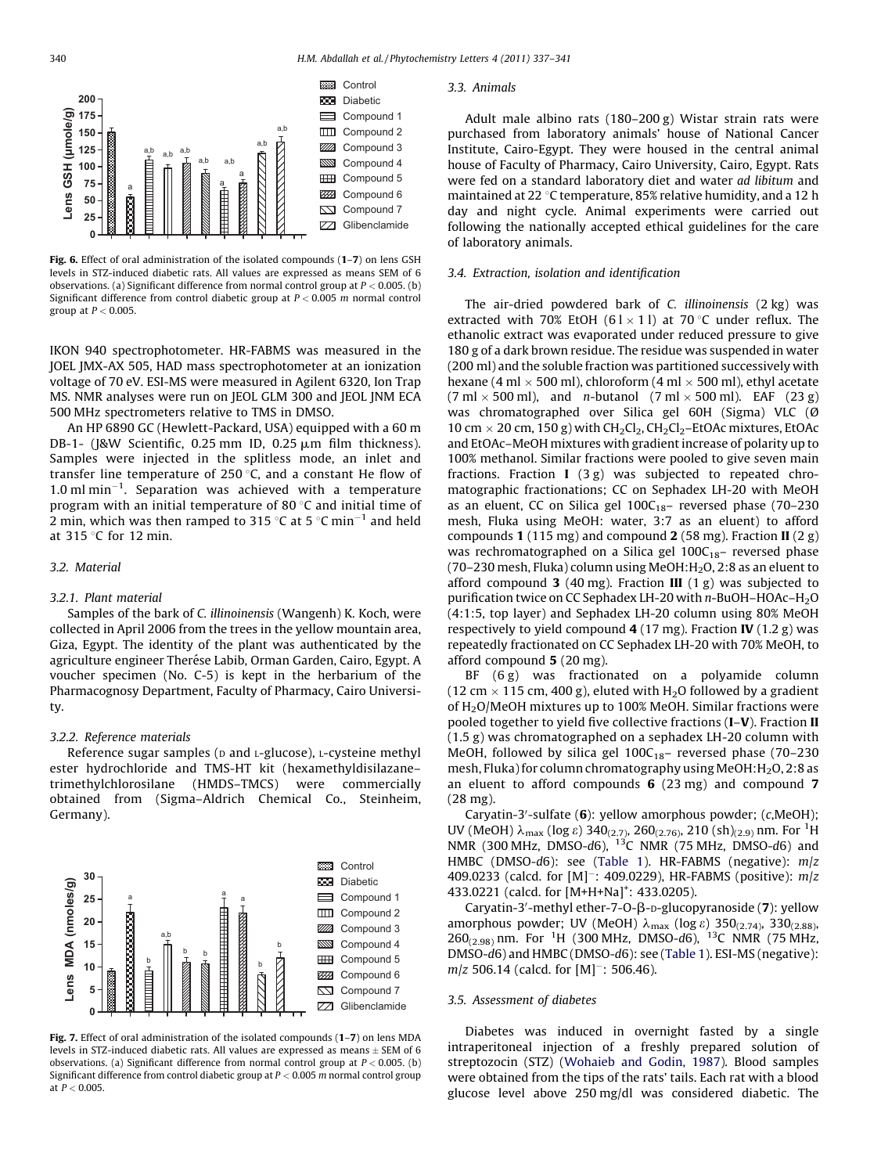<span id="page-3-0"></span>

Fig. 6. Effect of oral administration of the isolated compounds (1–7) on lens GSH levels in STZ-induced diabetic rats. All values are expressed as means SEM of 6 observations. (a) Significant difference from normal control group at  $P < 0.005$ . (b) Significant difference from control diabetic group at  $P < 0.005$  m normal control group at  $P < 0.005$ .

IKON 940 spectrophotometer. HR-FABMS was measured in the JOEL JMX-AX 505, HAD mass spectrophotometer at an ionization voltage of 70 eV. ESI-MS were measured in Agilent 6320, Ion Trap MS. NMR analyses were run on JEOL GLM 300 and JEOL JNM ECA 500 MHz spectrometers relative to TMS in DMSO.

An HP 6890 GC (Hewlett-Packard, USA) equipped with a 60 m DB-1- (J&W Scientific, 0.25 mm ID, 0.25 µm film thickness). Samples were injected in the splitless mode, an inlet and transfer line temperature of 250 $\degree$ C, and a constant He flow of  $1.0$  ml min $^{-1}$ . Separation was achieved with a temperature program with an initial temperature of 80 $\degree$ C and initial time of 2 min, which was then ramped to 315 °C at 5 °C min<sup>-1</sup> and held at  $315$  °C for 12 min.

### 3.2. Material

#### 3.2.1. Plant material

Samples of the bark of C. illinoinensis (Wangenh) K. Koch, were collected in April 2006 from the trees in the yellow mountain area, Giza, Egypt. The identity of the plant was authenticated by the agriculture engineer Therése Labib, Orman Garden, Cairo, Egypt. A voucher specimen (No. C-5) is kept in the herbarium of the Pharmacognosy Department, Faculty of Pharmacy, Cairo University.

## 3.2.2. Reference materials

Reference sugar samples ( $D$  and  $L$ -glucose),  $L$ -cysteine methyl ester hydrochloride and TMS-HT kit (hexamethyldisilazane– trimethylchlorosilane (HMDS–TMCS) were commercially obtained from (Sigma–Aldrich Chemical Co., Steinheim, Germany).



Fig. 7. Effect of oral administration of the isolated compounds (1–7) on lens MDA levels in STZ-induced diabetic rats. All values are expressed as means  $\pm$  SEM of 6 observations. (a) Significant difference from normal control group at  $P < 0.005$ . (b) Significant difference from control diabetic group at  $P < 0.005$  m normal control group at  $P < 0.005$ .

#### 3.3. Animals

Adult male albino rats (180–200 g) Wistar strain rats were purchased from laboratory animals' house of National Cancer Institute, Cairo-Egypt. They were housed in the central animal house of Faculty of Pharmacy, Cairo University, Cairo, Egypt. Rats were fed on a standard laboratory diet and water ad libitum and maintained at 22  $\degree$ C temperature, 85% relative humidity, and a 12 h day and night cycle. Animal experiments were carried out following the nationally accepted ethical guidelines for the care of laboratory animals.

## 3.4. Extraction, isolation and identification

The air-dried powdered bark of C. illinoinensis (2 kg) was extracted with 70% EtOH (61  $\times$  11) at 70 °C under reflux. The ethanolic extract was evaporated under reduced pressure to give 180 g of a dark brown residue. The residue was suspended in water (200 ml) and the soluble fraction was partitioned successively with hexane (4 ml  $\times$  500 ml), chloroform (4 ml  $\times$  500 ml), ethyl acetate  $(7 \text{ ml} \times 500 \text{ ml})$ , and *n*-butanol  $(7 \text{ ml} \times 500 \text{ ml})$ . EAF  $(23 \text{ g})$ was chromatographed over Silica gel 60H (Sigma) VLC (Ø 10 cm  $\times$  20 cm, 150 g) with CH<sub>2</sub>Cl<sub>2</sub>, CH<sub>2</sub>Cl<sub>2</sub>–EtOAc mixtures, EtOAc and EtOAc–MeOH mixtures with gradient increase of polarity up to 100% methanol. Similar fractions were pooled to give seven main fractions. Fraction I (3 g) was subjected to repeated chromatographic fractionations; CC on Sephadex LH-20 with MeOH as an eluent, CC on Silica gel  $100C_{18}$ - reversed phase (70-230 mesh, Fluka using MeOH: water, 3:7 as an eluent) to afford compounds 1 (115 mg) and compound 2 (58 mg). Fraction II (2 g) was rechromatographed on a Silica gel  $100C_{18}$ – reversed phase (70–230 mesh, Fluka) column using MeOH: $H<sub>2</sub>$ O, 2:8 as an eluent to afford compound 3 (40 mg). Fraction III (1 g) was subjected to purification twice on CC Sephadex LH-20 with n-BuOH–HOAc–H2O (4:1:5, top layer) and Sephadex LH-20 column using 80% MeOH respectively to yield compound  $4(17 \text{ mg})$ . Fraction IV  $(1.2 \text{ g})$  was repeatedly fractionated on CC Sephadex LH-20 with 70% MeOH, to afford compound 5 (20 mg).

BF (6 g) was fractionated on a polyamide column (12 cm  $\times$  115 cm, 400 g), eluted with H<sub>2</sub>O followed by a gradient of H2O/MeOH mixtures up to 100% MeOH. Similar fractions were pooled together to yield five collective fractions (I–V). Fraction II (1.5 g) was chromatographed on a sephadex LH-20 column with MeOH, followed by silica gel  $100C_{18}$ – reversed phase (70–230 mesh, Fluka) for column chromatography using MeOH: $H_2O$ , 2:8 as an eluent to afford compounds 6 (23 mg) and compound 7 (28 mg).

Caryatin-3'-sulfate  $(6)$ : yellow amorphous powder; (c,MeOH); UV (MeOH)  $\lambda_{\text{max}}$  (log  $\varepsilon$ ) 340<sub>(2.7)</sub>, 260<sub>(2.76)</sub>, 210 (sh)<sub>(2.9)</sub> nm. For <sup>1</sup>H NMR (300 MHz, DMSO-d6),  $^{13}$ C NMR (75 MHz, DMSO-d6) and HMBC (DMSO-d6): see [\(Table](#page-1-0) 1). HR-FABMS (negative):  $m/z$ 409.0233 (calcd. for [M]<sup>-</sup>: 409.0229), HR-FABMS (positive): m/z 433.0221 (calcd. for [M+H+Na]<sup>+</sup>: 433.0205).

Caryatin-3'-methyl ether-7-O-β-D-glucopyranoside (7): yellow amorphous powder; UV (MeOH)  $\lambda_{\text{max}}$  (log  $\varepsilon$ ) 350<sub>(2.74)</sub>, 330<sub>(2.88)</sub>, 260<sub>(2.98)</sub> nm. For <sup>1</sup>H (300 MHz, DMSO-d6), <sup>13</sup>C NMR (75 MHz, DMSO-d6) and HMBC (DMSO-d6): see ([Table](#page-1-0) 1). ESI-MS (negative):  $m/z$  506.14 (calcd. for [M]<sup>-</sup>: 506.46).

#### 3.5. Assessment of diabetes

Diabetes was induced in overnight fasted by a single intraperitoneal injection of a freshly prepared solution of streptozocin (STZ) ([Wohaieb](#page-4-0) and Godin, 1987). Blood samples were obtained from the tips of the rats' tails. Each rat with a blood glucose level above 250 mg/dl was considered diabetic. The